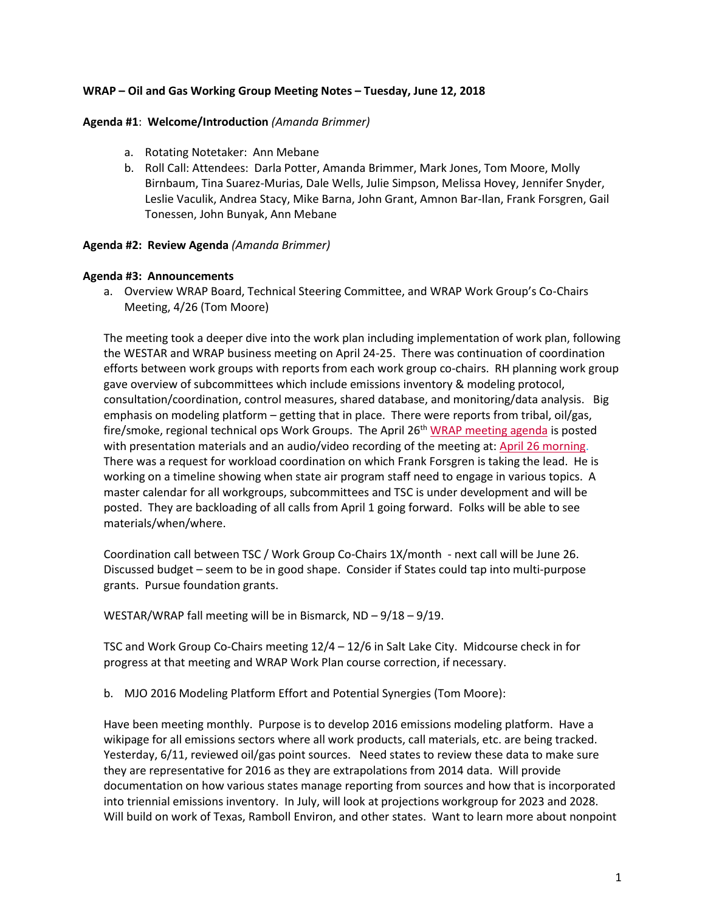## **WRAP – Oil and Gas Working Group Meeting Notes – Tuesday, June 12, 2018**

#### **Agenda #1**: **Welcome/Introduction** *(Amanda Brimmer)*

- a. Rotating Notetaker: Ann Mebane
- b. Roll Call: Attendees: Darla Potter, Amanda Brimmer, Mark Jones, Tom Moore, Molly Birnbaum, Tina Suarez-Murias, Dale Wells, Julie Simpson, Melissa Hovey, Jennifer Snyder, Leslie Vaculik, Andrea Stacy, Mike Barna, John Grant, Amnon Bar-Ilan, Frank Forsgren, Gail Tonessen, John Bunyak, Ann Mebane

#### **Agenda #2: Review Agenda** *(Amanda Brimmer)*

### **Agenda #3: Announcements**

a. Overview WRAP Board, Technical Steering Committee, and WRAP Work Group's Co-Chairs Meeting, 4/26 (Tom Moore)

The meeting took a deeper dive into the work plan including implementation of work plan, following the WESTAR and WRAP business meeting on April 24-25. There was continuation of coordination efforts between work groups with reports from each work group co-chairs. RH planning work group gave overview of subcommittees which include emissions inventory & modeling protocol, consultation/coordination, control measures, shared database, and monitoring/data analysis. Big emphasis on modeling platform – getting that in place. There were reports from tribal, oil/gas, fire/smoke, regional technical ops Work Groups. The April 26<sup>th</sup> [WRAP meeting agenda](http://www.wrapair2.org/calendar/attachments/20425/16152/WRAP%20Board%20Meeting%20April26_2018%20final3.pdf) is posted with presentation materials and an audio/video recording of the meeting at: [April 26 morning.](http://www.wrapair2.org/pdf/WRAPBoardTSC_WGsCoChairs%20meeting%20April%2026_2018.mp4) There was a request for workload coordination on which Frank Forsgren is taking the lead. He is working on a timeline showing when state air program staff need to engage in various topics. A master calendar for all workgroups, subcommittees and TSC is under development and will be posted. They are backloading of all calls from April 1 going forward. Folks will be able to see materials/when/where.

Coordination call between TSC / Work Group Co-Chairs 1X/month - next call will be June 26. Discussed budget – seem to be in good shape. Consider if States could tap into multi-purpose grants. Pursue foundation grants.

WESTAR/WRAP fall meeting will be in Bismarck, ND – 9/18 – 9/19.

TSC and Work Group Co-Chairs meeting 12/4 – 12/6 in Salt Lake City. Midcourse check in for progress at that meeting and WRAP Work Plan course correction, if necessary.

b. MJO 2016 Modeling Platform Effort and Potential Synergies (Tom Moore):

Have been meeting monthly. Purpose is to develop 2016 emissions modeling platform. Have a wikipage for all emissions sectors where all work products, call materials, etc. are being tracked. Yesterday, 6/11, reviewed oil/gas point sources. Need states to review these data to make sure they are representative for 2016 as they are extrapolations from 2014 data. Will provide documentation on how various states manage reporting from sources and how that is incorporated into triennial emissions inventory. In July, will look at projections workgroup for 2023 and 2028. Will build on work of Texas, Ramboll Environ, and other states. Want to learn more about nonpoint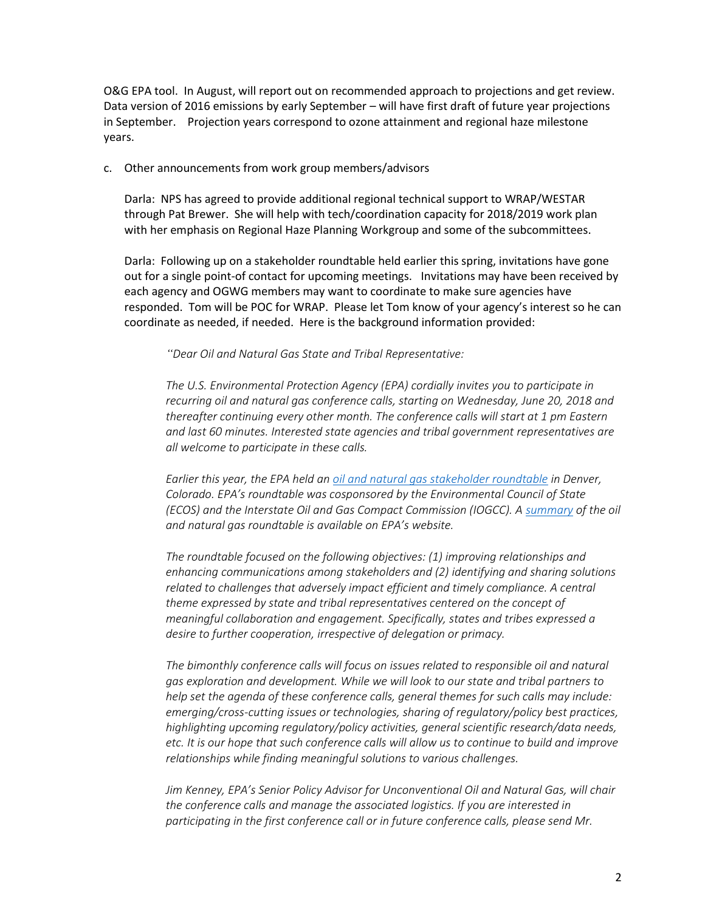O&G EPA tool. In August, will report out on recommended approach to projections and get review. Data version of 2016 emissions by early September – will have first draft of future year projections in September. Projection years correspond to ozone attainment and regional haze milestone years.

### c. Other announcements from work group members/advisors

Darla: NPS has agreed to provide additional regional technical support to WRAP/WESTAR through Pat Brewer. She will help with tech/coordination capacity for 2018/2019 work plan with her emphasis on Regional Haze Planning Workgroup and some of the subcommittees.

Darla: Following up on a stakeholder roundtable held earlier this spring, invitations have gone out for a single point-of contact for upcoming meetings. Invitations may have been received by each agency and OGWG members may want to coordinate to make sure agencies have responded. Tom will be POC for WRAP. Please let Tom know of your agency's interest so he can coordinate as needed, if needed. Here is the background information provided:

*"Dear Oil and Natural Gas State and Tribal Representative:*

*The U.S. Environmental Protection Agency (EPA) cordially invites you to participate in recurring oil and natural gas conference calls, starting on Wednesday, June 20, 2018 and thereafter continuing every other month. The conference calls will start at 1 pm Eastern and last 60 minutes. Interested state agencies and tribal government representatives are all welcome to participate in these calls.*

*Earlier this year, the EPA held an [oil and natural gas stakeholder roundtable](https://www.epa.gov/uog/materials-february-2018-oil-and-natural-gas-roundtable) in Denver, Colorado. EPA's roundtable was cosponsored by the Environmental Council of State (ECOS) and the Interstate Oil and Gas Compact Commission (IOGCC). [A summary](https://www.epa.gov/sites/production/files/2018-03/documents/oil_and_natrual_gas_roundtable_highlights.pdf) of the oil and natural gas roundtable is available on EPA's website.*

*The roundtable focused on the following objectives: (1) improving relationships and enhancing communications among stakeholders and (2) identifying and sharing solutions related to challenges that adversely impact efficient and timely compliance. A central theme expressed by state and tribal representatives centered on the concept of meaningful collaboration and engagement. Specifically, states and tribes expressed a desire to further cooperation, irrespective of delegation or primacy.* 

*The bimonthly conference calls will focus on issues related to responsible oil and natural gas exploration and development. While we will look to our state and tribal partners to help set the agenda of these conference calls, general themes for such calls may include: emerging/cross-cutting issues or technologies, sharing of regulatory/policy best practices, highlighting upcoming regulatory/policy activities, general scientific research/data needs, etc. It is our hope that such conference calls will allow us to continue to build and improve relationships while finding meaningful solutions to various challenges.*

*Jim Kenney, EPA's Senior Policy Advisor for Unconventional Oil and Natural Gas, will chair the conference calls and manage the associated logistics. If you are interested in participating in the first conference call or in future conference calls, please send Mr.*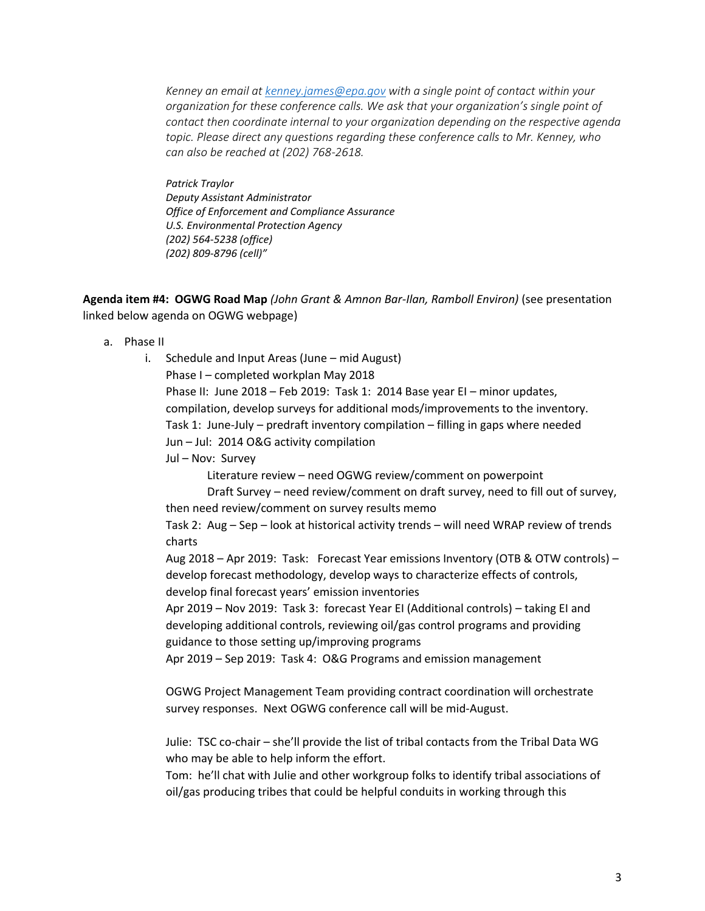*Kenney an email a[t kenney.james@epa.gov](mailto:kenney.james@epa.gov) with a single point of contact within your organization for these conference calls. We ask that your organization's single point of contact then coordinate internal to your organization depending on the respective agenda topic. Please direct any questions regarding these conference calls to Mr. Kenney, who can also be reached at (202) 768-2618.*

*Patrick Traylor Deputy Assistant Administrator Office of Enforcement and Compliance Assurance U.S. Environmental Protection Agency (202) 564-5238 (office) (202) 809-8796 (cell)"*

**Agenda item #4: OGWG Road Map** *(John Grant & Amnon Bar-Ilan, Ramboll Environ)* (see presentation linked below agenda on OGWG webpage)

- a. Phase II
	- i. Schedule and Input Areas (June mid August) Phase I – completed workplan May 2018 Phase II: June 2018 – Feb 2019: Task 1: 2014 Base year EI – minor updates, compilation, develop surveys for additional mods/improvements to the inventory. Task 1: June-July – predraft inventory compilation – filling in gaps where needed Jun – Jul: 2014 O&G activity compilation Jul – Nov: Survey Literature review – need OGWG review/comment on powerpoint Draft Survey – need review/comment on draft survey, need to fill out of survey, then need review/comment on survey results memo Task 2: Aug – Sep – look at historical activity trends – will need WRAP review of trends charts Aug 2018 – Apr 2019: Task: Forecast Year emissions Inventory (OTB & OTW controls) – develop forecast methodology, develop ways to characterize effects of controls, develop final forecast years' emission inventories Apr 2019 – Nov 2019: Task 3: forecast Year EI (Additional controls) – taking EI and developing additional controls, reviewing oil/gas control programs and providing guidance to those setting up/improving programs Apr 2019 – Sep 2019: Task 4: O&G Programs and emission management

OGWG Project Management Team providing contract coordination will orchestrate survey responses. Next OGWG conference call will be mid-August.

Julie: TSC co-chair – she'll provide the list of tribal contacts from the Tribal Data WG who may be able to help inform the effort.

Tom: he'll chat with Julie and other workgroup folks to identify tribal associations of oil/gas producing tribes that could be helpful conduits in working through this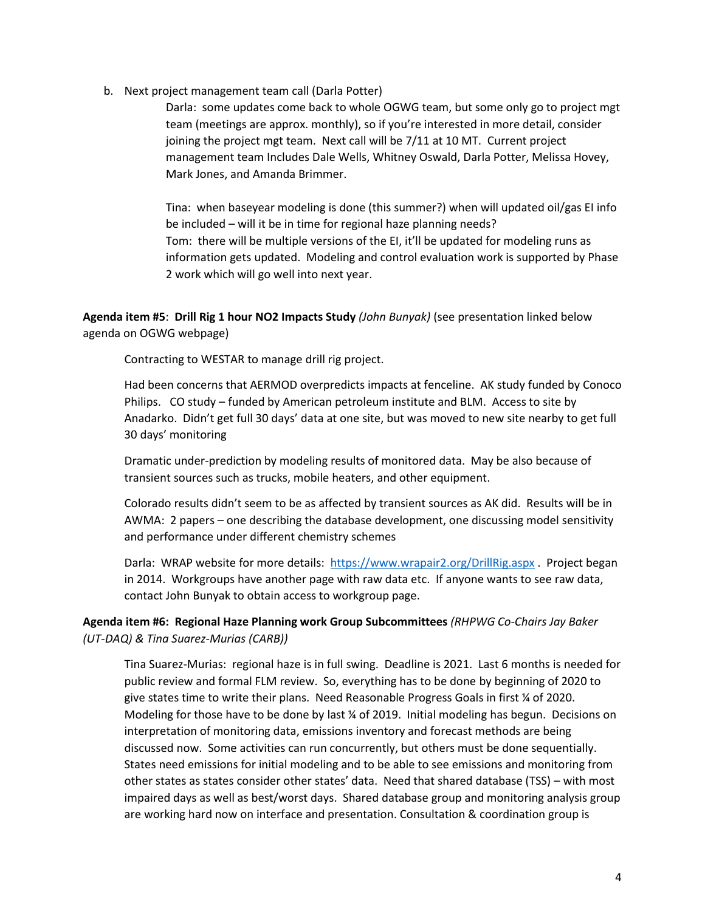b. Next project management team call (Darla Potter)

Darla: some updates come back to whole OGWG team, but some only go to project mgt team (meetings are approx. monthly), so if you're interested in more detail, consider joining the project mgt team. Next call will be 7/11 at 10 MT. Current project management team Includes Dale Wells, Whitney Oswald, Darla Potter, Melissa Hovey, Mark Jones, and Amanda Brimmer.

Tina: when baseyear modeling is done (this summer?) when will updated oil/gas EI info be included – will it be in time for regional haze planning needs? Tom: there will be multiple versions of the EI, it'll be updated for modeling runs as information gets updated. Modeling and control evaluation work is supported by Phase 2 work which will go well into next year.

**Agenda item #5**: **Drill Rig 1 hour NO2 Impacts Study** *(John Bunyak)* (see presentation linked below agenda on OGWG webpage)

Contracting to WESTAR to manage drill rig project.

Had been concerns that AERMOD overpredicts impacts at fenceline. AK study funded by Conoco Philips. CO study – funded by American petroleum institute and BLM. Access to site by Anadarko. Didn't get full 30 days' data at one site, but was moved to new site nearby to get full 30 days' monitoring

Dramatic under-prediction by modeling results of monitored data. May be also because of transient sources such as trucks, mobile heaters, and other equipment.

Colorado results didn't seem to be as affected by transient sources as AK did. Results will be in AWMA: 2 papers – one describing the database development, one discussing model sensitivity and performance under different chemistry schemes

Darla: WRAP website for more details: <https://www.wrapair2.org/DrillRig.aspx> . Project began in 2014. Workgroups have another page with raw data etc. If anyone wants to see raw data, contact John Bunyak to obtain access to workgroup page.

**Agenda item #6: Regional Haze Planning work Group Subcommittees** *(RHPWG Co-Chairs Jay Baker (UT-DAQ) & Tina Suarez-Murias (CARB))*

Tina Suarez-Murias: regional haze is in full swing. Deadline is 2021. Last 6 months is needed for public review and formal FLM review. So, everything has to be done by beginning of 2020 to give states time to write their plans. Need Reasonable Progress Goals in first ¼ of 2020. Modeling for those have to be done by last % of 2019. Initial modeling has begun. Decisions on interpretation of monitoring data, emissions inventory and forecast methods are being discussed now. Some activities can run concurrently, but others must be done sequentially. States need emissions for initial modeling and to be able to see emissions and monitoring from other states as states consider other states' data. Need that shared database (TSS) – with most impaired days as well as best/worst days. Shared database group and monitoring analysis group are working hard now on interface and presentation. Consultation & coordination group is